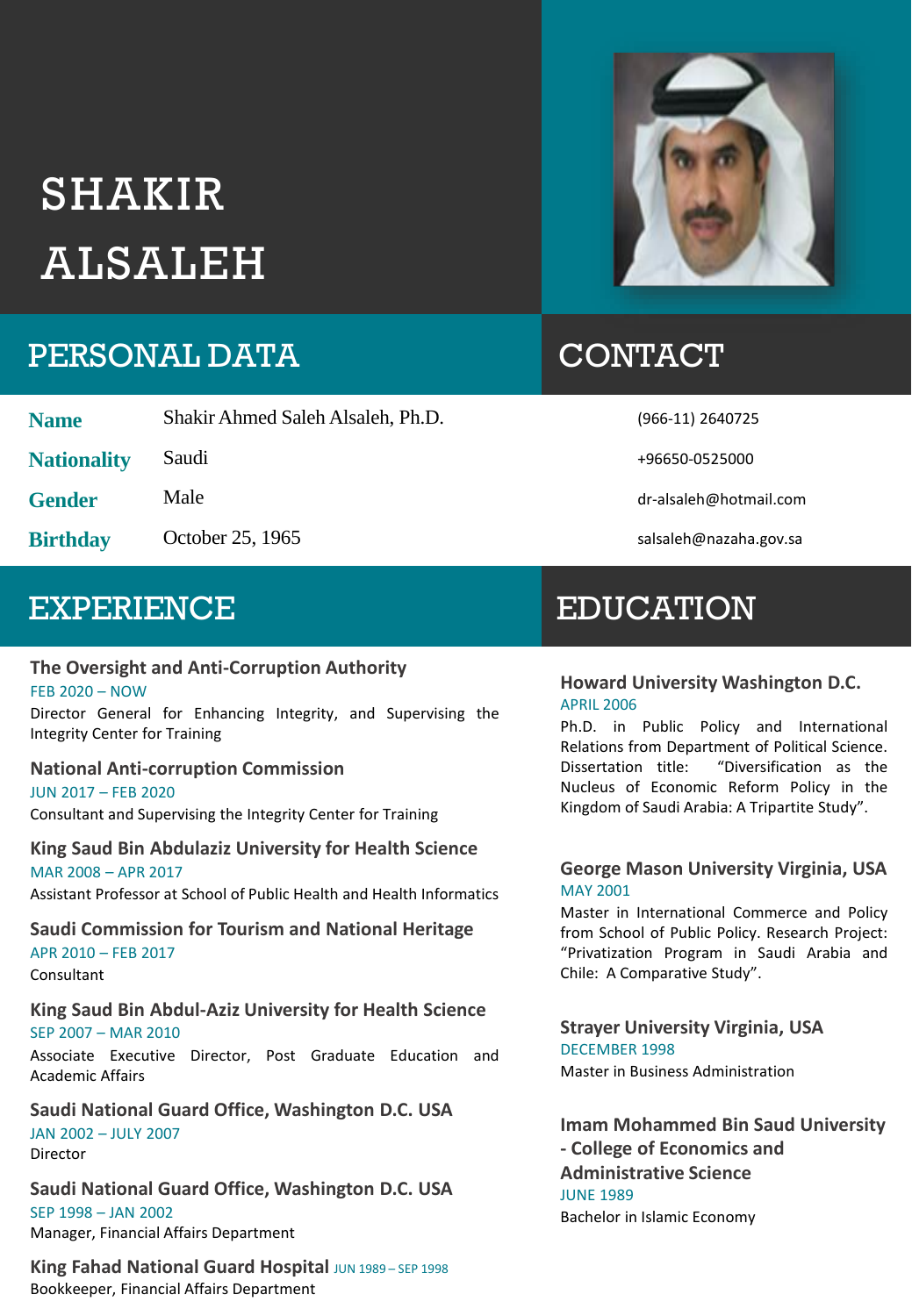# SHAKIR ALSALEH

## PERSONAL DATA CONTACT



## EXPERIENCE EDUCATION

## **The Oversight and Anti-Corruption Authority** FEB 2020 – NOW

Director General for Enhancing Integrity, and Supervising the Integrity Center for Training

### **National Anti-corruption Commission** JUN 2017 – FEB 2020 Consultant and Supervising the Integrity Center for Training

### **King Saud Bin Abdulaziz University for Health Science** MAR 2008 – APR 2017 Assistant Professor at School of Public Health and Health Informatics

**Saudi Commission for Tourism and National Heritage** APR 2010 – FEB 2017 Consultant

### **King Saud Bin Abdul-Aziz University for Health Science** SEP 2007 – MAR 2010 Associate Executive Director, Post Graduate Education and Academic Affairs

## **Saudi National Guard Office, Washington D.C. USA**

JAN 2002 – JULY 2007 Director

**Saudi National Guard Office, Washington D.C. USA** SEP 1998 – JAN 2002 Manager, Financial Affairs Department

**King Fahad National Guard Hospital** JUN <sup>1989</sup> – SEP <sup>1998</sup> Bookkeeper, Financial Affairs Department



### **Howard University Washington D.C.**  APRIL 2006

Ph.D. in Public Policy and International Relations from Department of Political Science. Dissertation title: "Diversification as the Nucleus of Economic Reform Policy in the Kingdom of Saudi Arabia: A Tripartite Study".

### **George Mason University Virginia, USA**  MAY 2001

Master in International Commerce and Policy from School of Public Policy. Research Project: "Privatization Program in Saudi Arabia and Chile: A Comparative Study".

### **Strayer University Virginia, USA**  DECEMBER 1998 Master in Business Administration

**Imam Mohammed Bin Saud University - College of Economics and Administrative Science**  JUNE 1989 Bachelor in Islamic Economy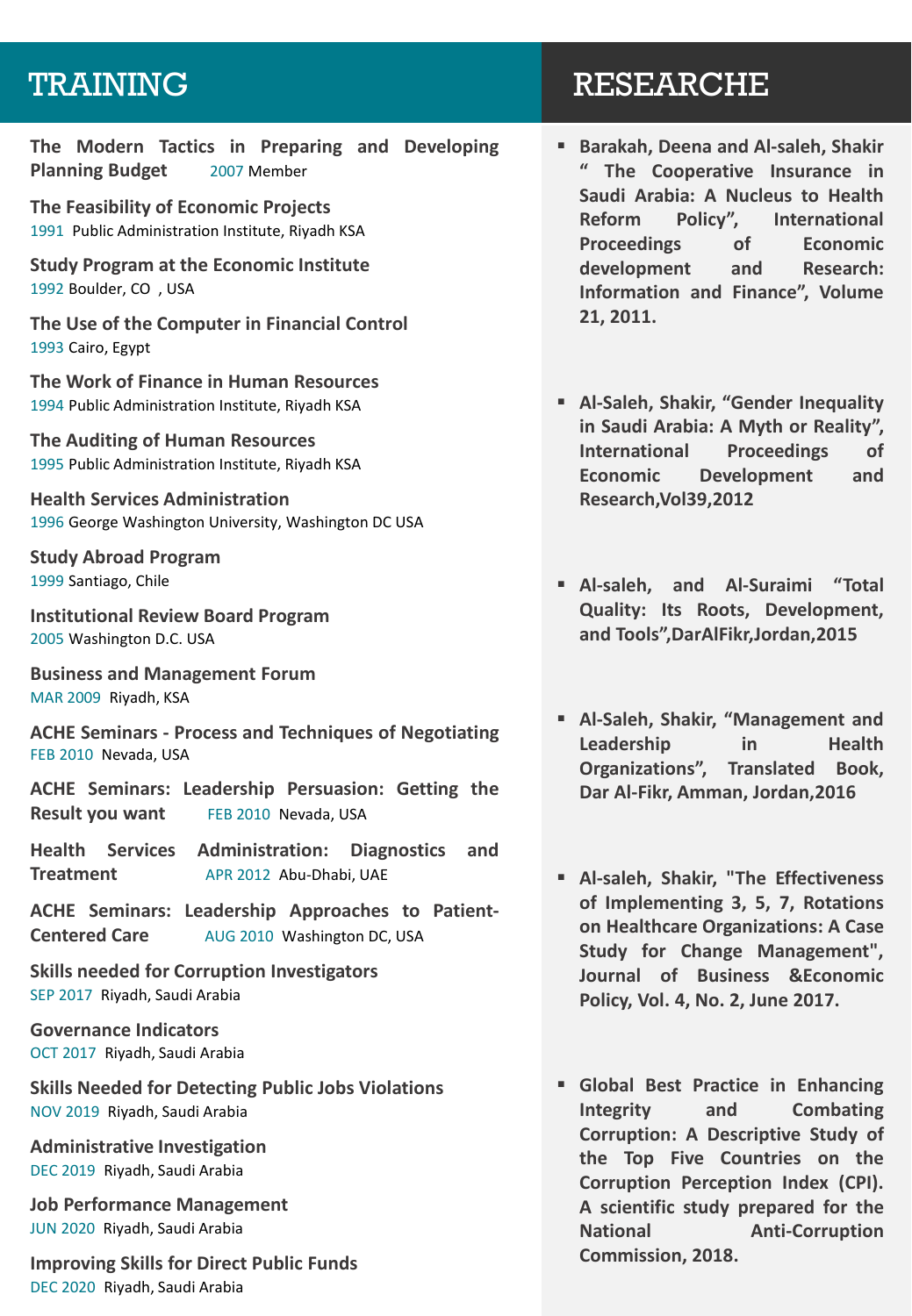**The Modern Tactics in Preparing and Developing Planning Budget** 2007 Member

**The Feasibility of Economic Projects** 1991 Public Administration Institute, Riyadh KSA

**Study Program at the Economic Institute** 1992 Boulder, CO , USA

**The Use of the Computer in Financial Control** 1993 Cairo, Egypt

**The Work of Finance in Human Resources** 1994 Public Administration Institute, Riyadh KSA

**The Auditing of Human Resources** 1995 Public Administration Institute, Riyadh KSA

**Health Services Administration** 1996 George Washington University, Washington DC USA

**Study Abroad Program** 1999 Santiago, Chile

**Institutional Review Board Program** 2005 Washington D.C. USA

**Business and Management Forum** MAR 2009 Riyadh, KSA

**ACHE Seminars - Process and Techniques of Negotiating** FEB 2010 Nevada, USA

**ACHE Seminars: Leadership Persuasion: Getting the Result you want** FEB 2010 Nevada, USA

**Health Services Administration: Diagnostics and Treatment** APR 2012 Abu-Dhabi, UAE

**ACHE Seminars: Leadership Approaches to Patient-Centered Care** AUG 2010 Washington DC, USA

**Skills needed for Corruption Investigators** SEP 2017 Riyadh, Saudi Arabia

**Governance Indicators** OCT 2017 Riyadh, Saudi Arabia

**Skills Needed for Detecting Public Jobs Violations** NOV 2019 Riyadh, Saudi Arabia

**Administrative Investigation** DEC 2019 Riyadh, Saudi Arabia

**Job Performance Management** JUN 2020 Riyadh, Saudi Arabia

**Improving Skills for Direct Public Funds** DEC 2020 Riyadh, Saudi Arabia

## TRAINING RESEARCHE

- **Barakah, Deena and Al-saleh, Shakir " The Cooperative Insurance in Saudi Arabia: A Nucleus to Health Reform Policy", International Proceedings of Economic development and Research: Information and Finance", Volume 21, 2011.**
- **Al-Saleh, Shakir, "Gender Inequality in Saudi Arabia: A Myth or Reality", International Proceedings of Economic Development and Research,Vol39,2012**
- **Al-saleh, and Al-Suraimi "Total Quality: Its Roots, Development, and Tools",DarAlFikr,Jordan,2015**
- **Al-Saleh, Shakir, "Management and Leadership in Health Organizations", Translated Book, Dar Al-Fikr, Amman, Jordan,2016**
- **Al-saleh, Shakir, "The Effectiveness of Implementing 3, 5, 7, Rotations on Healthcare Organizations: A Case Study for Change Management", Journal of Business &Economic Policy, Vol. 4, No. 2, June 2017.**
- **Global Best Practice in Enhancing Integrity and Combating Corruption: A Descriptive Study of the Top Five Countries on the Corruption Perception Index (CPI). A scientific study prepared for the National Anti-Corruption Commission, 2018.**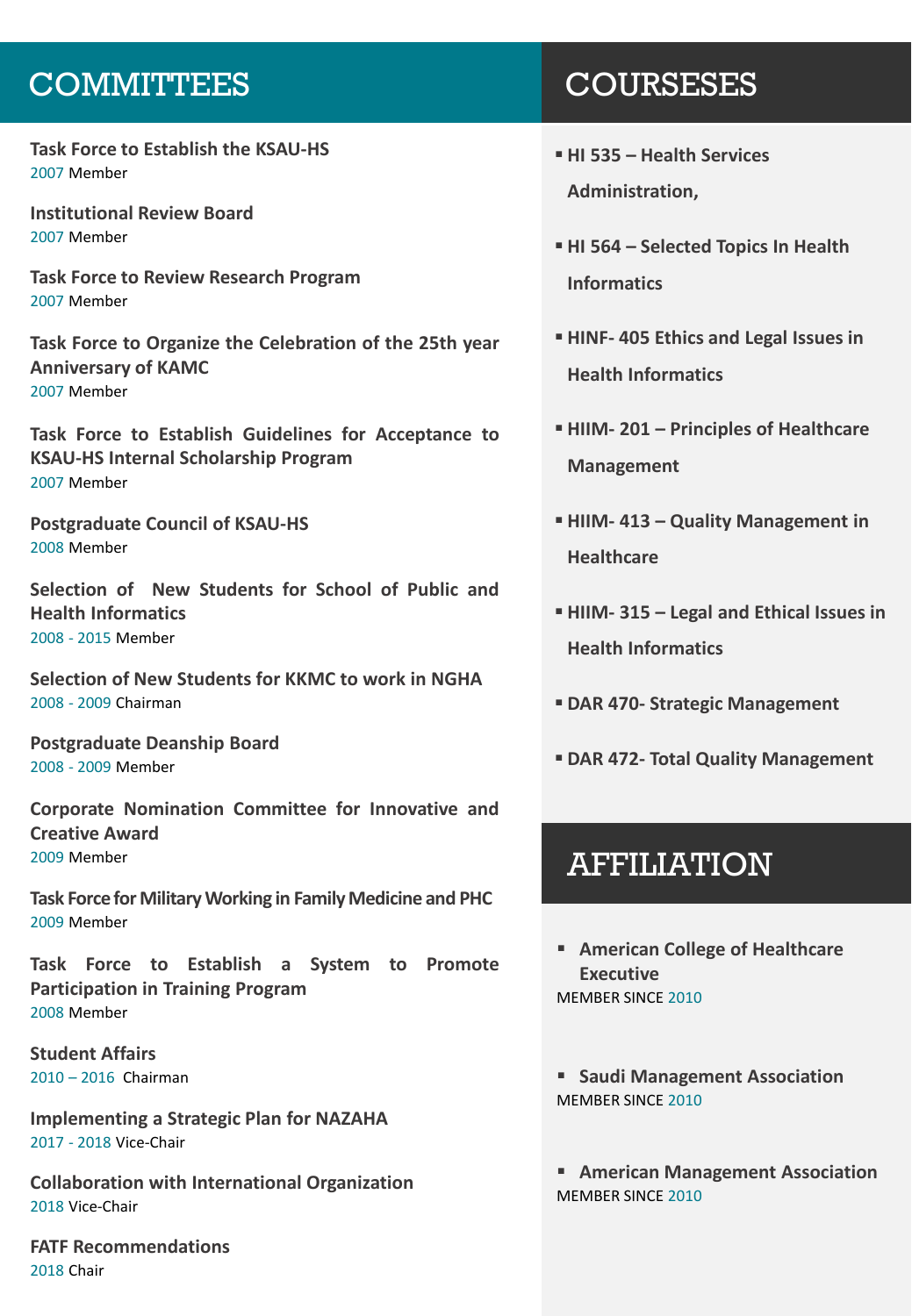## COMMITTEES COURSESES

**Task Force to Establish the KSAU-HS** 2007 Member

**Institutional Review Board** 2007 Member

**Task Force to Review Research Program** 2007 Member

**Task Force to Organize the Celebration of the 25th year Anniversary of KAMC** 2007 Member

**Task Force to Establish Guidelines for Acceptance to KSAU-HS Internal Scholarship Program** 2007 Member

**Postgraduate Council of KSAU-HS** 2008 Member

**Selection of New Students for School of Public and Health Informatics** 2008 - 2015 Member

**Selection of New Students for KKMC to work in NGHA** 2008 - 2009 Chairman

**Postgraduate Deanship Board** 2008 - 2009 Member

**Corporate Nomination Committee for Innovative and Creative Award** 2009 Member

**Task Force for MilitaryWorking in FamilyMedicine and PHC** 2009 Member

**Task Force to Establish a System to Promote Participation in Training Program** 2008 Member

**Student Affairs** 2010 – 2016 Chairman

**Implementing a Strategic Plan for NAZAHA** 2017 - 2018 Vice-Chair

**Collaboration with International Organization** 2018 Vice-Chair

**FATF Recommendations** 2018 Chair

- **HI 535 – Health Services Administration,**
- **HI 564 – Selected Topics In Health Informatics**
- **HINF- 405 Ethics and Legal Issues in Health Informatics**
- **HIIM- 201 – Principles of Healthcare Management**
- **HIIM- 413 – Quality Management in Healthcare**
- **HIIM- 315 – Legal and Ethical Issues in Health Informatics**
- **DAR 470- Strategic Management**
- **DAR 472- Total Quality Management**

## AFFILIATION

- **American College of Healthcare Executive** MEMBER SINCE 2010
- **Saudi Management Association** MEMBER SINCE 2010

▪ **American Management Association** MEMBER SINCE 2010